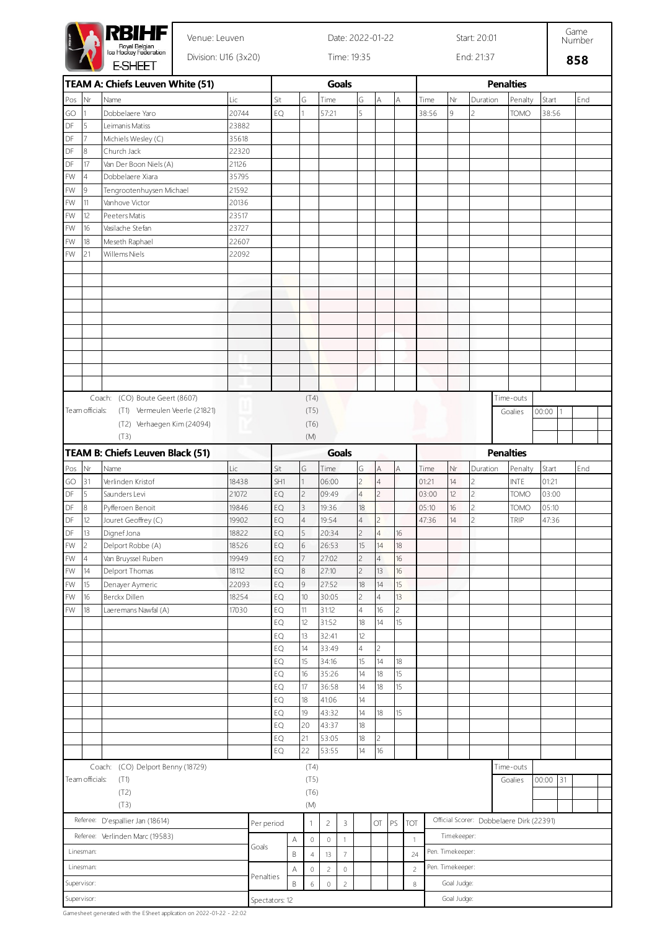|                                                                                  |                 | RBIHF<br>Venue: Leuven            |             | Date: 2022-01-22<br>Start: 20:01 |                                                         |                |                |                |                |                |                  |                |             |                  |                          | Game<br>Number                           |       |    |     |  |  |  |  |
|----------------------------------------------------------------------------------|-----------------|-----------------------------------|-------------|----------------------------------|---------------------------------------------------------|----------------|----------------|----------------|----------------|----------------|------------------|----------------|-------------|------------------|--------------------------|------------------------------------------|-------|----|-----|--|--|--|--|
| Royal Belgian<br>Ice Hockey Federation<br>Division: U16 (3x20)<br><b>E-SHEET</b> |                 |                                   | Time: 19:35 |                                  |                                                         |                |                |                |                |                |                  | End: 21:37     |             | 858              |                          |                                          |       |    |     |  |  |  |  |
|                                                                                  |                 | TEAM A: Chiefs Leuven White (51)  |             |                                  |                                                         |                |                | <b>Goals</b>   |                |                |                  |                |             |                  |                          | <b>Penalties</b>                         |       |    |     |  |  |  |  |
| Pos                                                                              | Nr              | Name                              | Lic         |                                  | Sit                                                     | G              | Time           |                | G              | Α              |                  | A              | Time        | Nr               | Duration                 | Penalty                                  | Start |    | End |  |  |  |  |
| GO                                                                               | 1               | Dobbelaere Yaro                   | 20744       |                                  | EQ                                                      | 1              | 57:21          |                | 5              |                |                  |                | 38:56       | 9                | $\overline{c}$           | <b>TOMO</b>                              | 38:56 |    |     |  |  |  |  |
| DF                                                                               | 5               | Leimanis Matiss                   | 23882       |                                  |                                                         |                |                |                |                |                |                  |                |             |                  |                          |                                          |       |    |     |  |  |  |  |
| DF                                                                               | 7               | Michiels Wesley (C)               | 35618       |                                  |                                                         |                |                |                |                |                |                  |                |             |                  |                          |                                          |       |    |     |  |  |  |  |
| DF                                                                               | 8               | Church Jack                       | 22320       |                                  |                                                         |                |                |                |                |                |                  |                |             |                  |                          |                                          |       |    |     |  |  |  |  |
| DF                                                                               | 17              | Van Der Boon Niels (A)            | 21126       |                                  |                                                         |                |                |                |                |                |                  |                |             |                  |                          |                                          |       |    |     |  |  |  |  |
| FW                                                                               | $\overline{4}$  | Dobbelaere Xiara                  | 35795       |                                  |                                                         |                |                |                |                |                |                  |                |             |                  |                          |                                          |       |    |     |  |  |  |  |
| FW                                                                               | 9               | Tengrootenhuysen Michael          | 21592       |                                  |                                                         |                |                |                |                |                |                  |                |             |                  |                          |                                          |       |    |     |  |  |  |  |
| FW                                                                               | 11              | Vanhove Victor                    | 20136       |                                  |                                                         |                |                |                |                |                |                  |                |             |                  |                          |                                          |       |    |     |  |  |  |  |
| FW                                                                               | 12              | Peeters Matis                     | 23517       |                                  |                                                         |                |                |                |                |                |                  |                |             |                  |                          |                                          |       |    |     |  |  |  |  |
| FW                                                                               | 16              | Vasilache Stefan                  | 23727       |                                  |                                                         |                |                |                |                |                |                  |                |             |                  |                          |                                          |       |    |     |  |  |  |  |
| FW                                                                               | 18              | Meseth Raphael                    | 22607       |                                  |                                                         |                |                |                |                |                |                  |                |             |                  |                          |                                          |       |    |     |  |  |  |  |
| FW                                                                               | 21              | Willems Niels                     | 22092       |                                  |                                                         |                |                |                |                |                |                  |                |             |                  |                          |                                          |       |    |     |  |  |  |  |
|                                                                                  |                 |                                   |             |                                  |                                                         |                |                |                |                |                |                  |                |             |                  |                          |                                          |       |    |     |  |  |  |  |
|                                                                                  |                 |                                   |             |                                  |                                                         |                |                |                |                |                |                  |                |             |                  |                          |                                          |       |    |     |  |  |  |  |
|                                                                                  |                 |                                   |             |                                  |                                                         |                |                |                |                |                |                  |                |             |                  |                          |                                          |       |    |     |  |  |  |  |
|                                                                                  |                 |                                   |             |                                  |                                                         |                |                |                |                |                |                  |                |             |                  |                          |                                          |       |    |     |  |  |  |  |
|                                                                                  |                 |                                   |             |                                  |                                                         |                |                |                |                |                |                  |                |             |                  |                          |                                          |       |    |     |  |  |  |  |
|                                                                                  |                 |                                   |             |                                  |                                                         |                |                |                |                |                |                  |                |             |                  |                          |                                          |       |    |     |  |  |  |  |
|                                                                                  |                 |                                   |             |                                  |                                                         |                |                |                |                |                |                  |                |             |                  |                          |                                          |       |    |     |  |  |  |  |
|                                                                                  |                 |                                   |             |                                  |                                                         |                |                |                |                |                |                  |                |             |                  |                          |                                          |       |    |     |  |  |  |  |
|                                                                                  |                 |                                   |             |                                  |                                                         |                |                |                |                |                |                  |                |             |                  |                          |                                          |       |    |     |  |  |  |  |
|                                                                                  |                 |                                   |             |                                  |                                                         |                |                |                |                |                |                  |                |             |                  |                          |                                          |       |    |     |  |  |  |  |
|                                                                                  |                 | Coach: (CO) Boute Geert (8607)    |             |                                  |                                                         | (T4)           |                |                |                |                |                  |                |             |                  |                          | Time-outs                                |       |    |     |  |  |  |  |
|                                                                                  | Team officials: | (T1) Vermeulen Veerle (21821)     |             |                                  |                                                         | (T5)           |                |                |                |                |                  |                |             |                  |                          | Goalies                                  | 00:00 | -1 |     |  |  |  |  |
|                                                                                  |                 | (T2) Verhaegen Kim (24094)        |             |                                  |                                                         | (T6)           |                |                |                |                |                  |                |             |                  |                          |                                          |       |    |     |  |  |  |  |
|                                                                                  |                 | (T3)                              |             |                                  |                                                         | (M)            |                |                |                |                |                  |                |             |                  |                          |                                          |       |    |     |  |  |  |  |
|                                                                                  |                 |                                   |             |                                  |                                                         |                |                |                |                |                |                  |                |             |                  |                          |                                          |       |    |     |  |  |  |  |
|                                                                                  |                 | TEAM B: Chiefs Leuven Black (51)  |             |                                  |                                                         |                |                | <b>Goals</b>   |                |                |                  |                |             |                  |                          | <b>Penalties</b>                         |       |    |     |  |  |  |  |
| Pos                                                                              | ∣Nr             | Name                              | Lic         |                                  | Sit                                                     | G              | Time           |                | G              | A              |                  | Α              | Time        | Nr               | Duration                 | Penalty                                  | Start |    | End |  |  |  |  |
| GO                                                                               | 31              | Verlinden Kristof                 | 18438       |                                  | SH1                                                     | 1              | 06:00          |                | 2              | $\overline{4}$ |                  |                | 01:21       | 14               | $\overline{c}$           | <b>INTE</b>                              | 01:21 |    |     |  |  |  |  |
| DF                                                                               | 5               | Saunders Levi                     | 21072       |                                  | EQ                                                      | $\overline{c}$ | 09:49          |                | 4              | 2              |                  |                | 03:00       | 12               | $\overline{c}$           | TOMO                                     | 03:00 |    |     |  |  |  |  |
| DF                                                                               | 8               | Pyfferoen Benoit                  | 19846       |                                  | EQ                                                      | $\overline{3}$ | 19:36          |                | 18             |                |                  |                | 05:10       | 16               | $\overline{c}$           | TOMO                                     | 05:10 |    |     |  |  |  |  |
| DF                                                                               | 12              | Jouret Geoffrey (C)               | 19902       |                                  | EQ                                                      | $\overline{4}$ | 19:54          |                | 4              | $\mathcal{D}$  |                  |                | 47:36       | 14               | $\overline{\phantom{a}}$ | TRIP                                     | 47:36 |    |     |  |  |  |  |
| DF                                                                               | 13              | Dignef Jona                       | 18822       |                                  | EQ                                                      | 5              | 20:34          |                | 2              | $\overline{4}$ |                  | 16             |             |                  |                          |                                          |       |    |     |  |  |  |  |
| FW                                                                               | 2               | Delport Robbe (A)                 | 18526       |                                  | EQ                                                      | 6              | 26:53          |                | 15             | 14             |                  | 18             |             |                  |                          |                                          |       |    |     |  |  |  |  |
| FW                                                                               | $\overline{4}$  | Van Bruyssel Ruben                | 19949       |                                  | EQ                                                      | $\overline{7}$ | 27:02          |                | $\overline{2}$ | $\overline{4}$ |                  | 16             |             |                  |                          |                                          |       |    |     |  |  |  |  |
| FW                                                                               | 14              | Delport Thomas                    | 18112       |                                  | EQ                                                      | $\overline{8}$ | 27:10          |                | $\overline{2}$ | 13             |                  | 16             |             |                  |                          |                                          |       |    |     |  |  |  |  |
| FW                                                                               | 15              | Denayer Aymeric                   | 22093       |                                  | EQ                                                      | $\overline{9}$ | 27:52          |                | 18             | 14             |                  | 15             |             |                  |                          |                                          |       |    |     |  |  |  |  |
| FW                                                                               | 16              | Berckx Dillen                     | 18254       |                                  | EQ                                                      | 10             | 30:05          |                | $\overline{c}$ | $\overline{4}$ |                  | 13             |             |                  |                          |                                          |       |    |     |  |  |  |  |
| FW                                                                               | 18              | Laeremans Nawfal (A)              | 17030       |                                  | EQ                                                      | 11             | 31:12          |                | 4              | 16             |                  | $\overline{c}$ |             |                  |                          |                                          |       |    |     |  |  |  |  |
|                                                                                  |                 |                                   |             |                                  | EQ                                                      | 12             | 31:52          |                | 18             | 14             |                  | 15             |             |                  |                          |                                          |       |    |     |  |  |  |  |
|                                                                                  |                 |                                   |             |                                  | EQ                                                      | 13             | 32:41          |                | 12             |                |                  |                |             |                  |                          |                                          |       |    |     |  |  |  |  |
|                                                                                  |                 |                                   |             |                                  | EQ                                                      | 14             | 33:49          |                | $\overline{4}$ | 2              |                  |                |             |                  |                          |                                          |       |    |     |  |  |  |  |
|                                                                                  |                 |                                   |             |                                  | EQ                                                      | 15             | 34:16          |                | 15             | 14             |                  | 18             |             |                  |                          |                                          |       |    |     |  |  |  |  |
|                                                                                  |                 |                                   |             |                                  | EQ                                                      | 16             | 35:26          |                | 14             | 18             |                  | 15             |             |                  |                          |                                          |       |    |     |  |  |  |  |
|                                                                                  |                 |                                   |             |                                  | EQ                                                      | 17             | 36:58          |                | 14             | 18             |                  | 15             |             |                  |                          |                                          |       |    |     |  |  |  |  |
|                                                                                  |                 |                                   |             |                                  | EQ                                                      | 18             | 41:06          |                | 14             |                |                  |                |             |                  |                          |                                          |       |    |     |  |  |  |  |
|                                                                                  |                 |                                   |             |                                  | EQ                                                      | 19             | 43:32          |                | 14             | 18             |                  | 15             |             |                  |                          |                                          |       |    |     |  |  |  |  |
|                                                                                  |                 |                                   |             |                                  | EQ                                                      | 20             | 43:37          |                | 18             |                |                  |                |             |                  |                          |                                          |       |    |     |  |  |  |  |
|                                                                                  |                 |                                   |             |                                  | EQ                                                      | 21             | 53:05          |                | 18             | 2              |                  |                |             |                  |                          |                                          |       |    |     |  |  |  |  |
|                                                                                  |                 |                                   |             |                                  | EQ                                                      | 22             | 53:55          |                | 14             | 16             |                  |                |             |                  |                          |                                          |       |    |     |  |  |  |  |
|                                                                                  |                 | Coach: (CO) Delport Benny (18729) |             |                                  | (T4)                                                    |                |                |                |                |                |                  |                |             |                  | Time-outs                |                                          |       |    |     |  |  |  |  |
| Team officials:<br>(T1)                                                          |                 |                                   |             |                                  | (T5)                                                    |                |                |                |                |                |                  |                |             | 00:00            | 31                       |                                          |       |    |     |  |  |  |  |
| (T2)                                                                             |                 |                                   |             |                                  |                                                         | (T6)           |                |                |                |                |                  |                |             |                  |                          | Goalies                                  |       |    |     |  |  |  |  |
|                                                                                  |                 | (T3)                              |             |                                  | (M)                                                     |                |                |                |                |                |                  |                |             |                  |                          |                                          |       |    |     |  |  |  |  |
|                                                                                  |                 |                                   |             |                                  |                                                         |                |                |                |                |                |                  |                |             |                  |                          |                                          |       |    |     |  |  |  |  |
| Referee: D'espallier Jan (18614)                                                 |                 |                                   |             |                                  | Per period                                              | 1              | $\overline{c}$ | 3              |                | OT             | $\mathsf{PS}$    | TOT            |             |                  |                          | Official Scorer: Dobbelaere Dirk (22391) |       |    |     |  |  |  |  |
|                                                                                  |                 | Referee: Verlinden Marc (19583)   |             |                                  | Α                                                       | $\circ$        | $\mathbb O$    | $\mathbf{1}$   |                |                |                  | $\mathbf{1}$   |             | Timekeeper:      |                          |                                          |       |    |     |  |  |  |  |
|                                                                                  | Linesman:       |                                   |             | Goals                            | B<br>$\overline{\mathcal{I}}$<br>$\sqrt{4}$<br>13<br>24 |                |                |                |                |                | Pen. Timekeeper: |                |             |                  |                          |                                          |       |    |     |  |  |  |  |
|                                                                                  |                 |                                   |             |                                  |                                                         |                |                |                |                |                |                  |                |             | Pen. Timekeeper: |                          |                                          |       |    |     |  |  |  |  |
| Linesman:                                                                        |                 |                                   |             |                                  | Α<br>Penalties                                          | $\mathbb O$    | $\sqrt{2}$     | $\mathbb O$    |                |                |                  | $\sqrt{2}$     |             |                  |                          |                                          |       |    |     |  |  |  |  |
| Supervisor:                                                                      |                 |                                   |             |                                  | B                                                       | 6              | $\mathbb O$    | $\overline{c}$ |                |                |                  | $\, 8$         |             | Goal Judge:      |                          |                                          |       |    |     |  |  |  |  |
|                                                                                  | Supervisor:     |                                   |             | Spectators: 12                   |                                                         |                |                |                |                |                |                  |                | Goal Judge: |                  |                          |                                          |       |    |     |  |  |  |  |

Gamesheet generated with the ESheet application on 2022-01-22 - 22:02